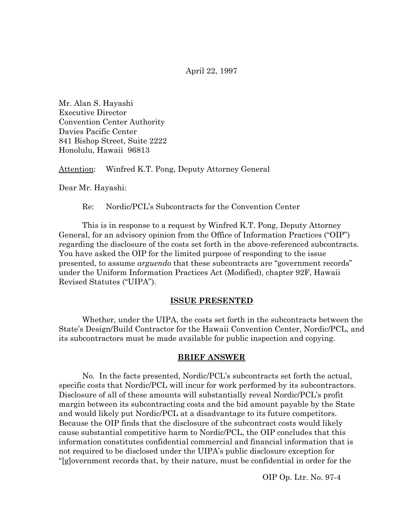April 22, 1997

Mr. Alan S. Hayashi Executive Director Convention Center Authority Davies Pacific Center 841 Bishop Street, Suite 2222 Honolulu, Hawaii 96813

Attention: Winfred K.T. Pong, Deputy Attorney General

Dear Mr. Hayashi:

Re: Nordic/PCL's Subcontracts for the Convention Center

This is in response to a request by Winfred K.T. Pong, Deputy Attorney General, for an advisory opinion from the Office of Information Practices ("OIP") regarding the disclosure of the costs set forth in the above-referenced subcontracts. You have asked the OIP for the limited purpose of responding to the issue presented, to assume *arguendo* that these subcontracts are "government records" under the Uniform Information Practices Act (Modified), chapter 92F, Hawaii Revised Statutes ("UIPA").

#### **ISSUE PRESENTED**

Whether, under the UIPA, the costs set forth in the subcontracts between the State's Design/Build Contractor for the Hawaii Convention Center, Nordic/PCL, and its subcontractors must be made available for public inspection and copying.

### **BRIEF ANSWER**

No. In the facts presented, Nordic/PCL's subcontracts set forth the actual, specific costs that Nordic/PCL will incur for work performed by its subcontractors. Disclosure of all of these amounts will substantially reveal Nordic/PCL's profit margin between its subcontracting costs and the bid amount payable by the State and would likely put Nordic/PCL at a disadvantage to its future competitors. Because the OIP finds that the disclosure of the subcontract costs would likely cause substantial competitive harm to Nordic/PCL, the OIP concludes that this information constitutes confidential commercial and financial information that is not required to be disclosed under the UIPA's public disclosure exception for "[g]overnment records that, by their nature, must be confidential in order for the

OIP Op. Ltr. No. 97-4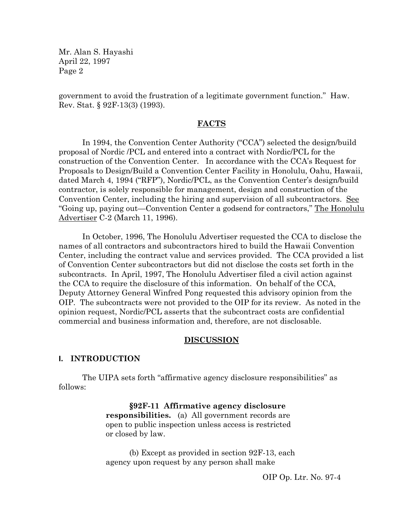government to avoid the frustration of a legitimate government function." Haw. Rev. Stat. § 92F-13(3) (1993).

### **FACTS**

In 1994, the Convention Center Authority ("CCA") selected the design/build proposal of Nordic /PCL and entered into a contract with Nordic/PCL for the construction of the Convention Center. In accordance with the CCA's Request for Proposals to Design/Build a Convention Center Facility in Honolulu, Oahu, Hawaii, dated March 4, 1994 ("RFP"), Nordic/PCL, as the Convention Center's design/build contractor, is solely responsible for management, design and construction of the Convention Center, including the hiring and supervision of all subcontractors. See "Going up, paying out—Convention Center a godsend for contractors," The Honolulu Advertiser C-2 (March 11, 1996).

In October, 1996, The Honolulu Advertiser requested the CCA to disclose the names of all contractors and subcontractors hired to build the Hawaii Convention Center, including the contract value and services provided. The CCA provided a list of Convention Center subcontractors but did not disclose the costs set forth in the subcontracts. In April, 1997, The Honolulu Advertiser filed a civil action against the CCA to require the disclosure of this information. On behalf of the CCA, Deputy Attorney General Winfred Pong requested this advisory opinion from the OIP. The subcontracts were not provided to the OIP for its review. As noted in the opinion request, Nordic/PCL asserts that the subcontract costs are confidential commercial and business information and, therefore, are not disclosable.

#### **DISCUSSION**

### **I. INTRODUCTION**

The UIPA sets forth "affirmative agency disclosure responsibilities" as follows:

> **§92F-11 Affirmative agency disclosure responsibilities.** (a) All government records are open to public inspection unless access is restricted or closed by law.

(b) Except as provided in section 92F-13, each agency upon request by any person shall make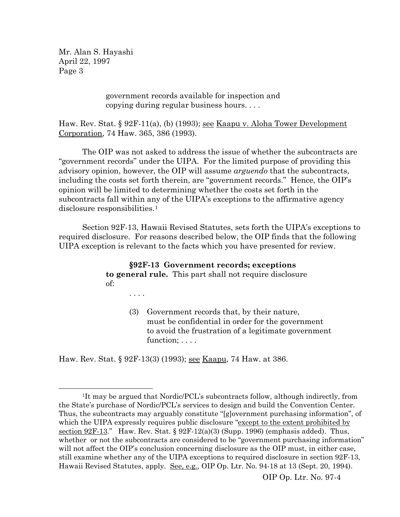> government records available for inspection and copying during regular business hours. . . .

Haw. Rev. Stat. § 92F-11(a), (b) (1993); <u>see Kaapu v. Aloha Tower Development</u> Corporation, 74 Haw. 365, 386 (1993).

The OIP was not asked to address the issue of whether the subcontracts are "government records" under the UIPA. For the limited purpose of providing this advisory opinion, however, the OIP will assume *arguendo* that the subcontracts, including the costs set forth therein, are "government records." Hence, the OIP's opinion will be limited to determining whether the costs set forth in the subcontracts fall within any of the UIPA's exceptions to the affirmative agency disclosure responsibilities.<sup>[1](#page-2-0)</sup>

Section 92F-13, Hawaii Revised Statutes, sets forth the UIPA's exceptions to required disclosure. For reasons described below, the OIP finds that the following UIPA exception is relevant to the facts which you have presented for review.

> **§92F-13 Government records; exceptions to general rule.** This part shall not require disclosure of:

> > (3) Government records that, by their nature, must be confidential in order for the government to avoid the frustration of a legitimate government function; . . . .

Haw. Rev. Stat. § 92F-13(3) (1993); see Kaapu, 74 Haw. at 386.

. . . .

 $\overline{a}$ 

<span id="page-2-0"></span><sup>1</sup>It may be argued that Nordic/PCL's subcontracts follow, although indirectly, from the State's purchase of Nordic/PCL's services to design and build the Convention Center. Thus, the subcontracts may arguably constitute "[g]overnment purchasing information", of which the UIPA expressly requires public disclosure "except to the extent prohibited by section 92F-13." Haw. Rev. Stat.  $\S 92F-12(a)(3)$  (Supp. 1996) (emphasis added). Thus, whether or not the subcontracts are considered to be "government purchasing information" will not affect the OIP's conclusion concerning disclosure as the OIP must, in either case, still examine whether any of the UIPA exceptions to required disclosure in section 92F-13, Hawaii Revised Statutes, apply. See, e.g., OIP Op. Ltr. No. 94-18 at 13 (Sept. 20, 1994).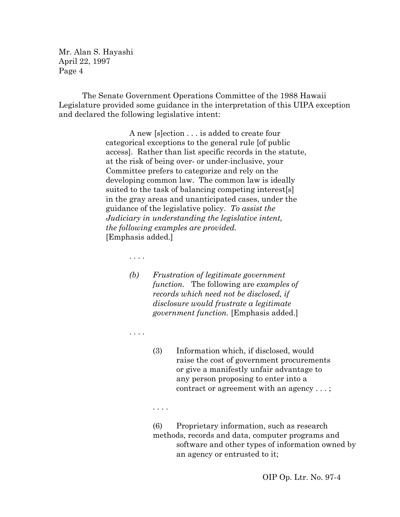The Senate Government Operations Committee of the 1988 Hawaii Legislature provided some guidance in the interpretation of this UIPA exception and declared the following legislative intent:

> A new [s]ection . . . is added to create four categorical exceptions to the general rule [of public access]. Rather than list specific records in the statute, at the risk of being over- or under-inclusive, your Committee prefers to categorize and rely on the developing common law. The common law is ideally suited to the task of balancing competing interest[s] in the gray areas and unanticipated cases, under the guidance of the legislative policy. *To assist the Judiciary in understanding the legislative intent, the following examples are provided.* [Emphasis added.]

- . . . .
- *(b) Frustration of legitimate government function.* The following are *examples of records which need not be disclosed, if disclosure would frustrate a legitimate government function.* [Emphasis added.]
- . . . .
- (3) Information which, if disclosed, would raise the cost of government procurements or give a manifestly unfair advantage to any person proposing to enter into a contract or agreement with an agency . . . ;
- . . . .
- (6) Proprietary information, such as research methods, records and data, computer programs and software and other types of information owned by an agency or entrusted to it;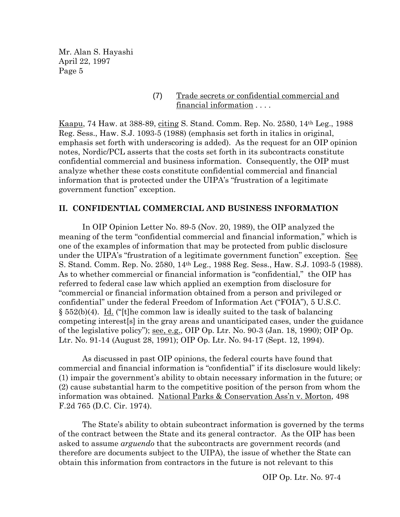> (7) Trade secrets or confidential commercial and financial information . . . .

Kaapu, 74 Haw. at 388-89, citing S. Stand. Comm. Rep. No. 2580, 14th Leg., 1988 Reg. Sess., Haw. S.J. 1093-5 (1988) (emphasis set forth in italics in original, emphasis set forth with underscoring is added). As the request for an OIP opinion notes, Nordic/PCL asserts that the costs set forth in its subcontracts constitute confidential commercial and business information. Consequently, the OIP must analyze whether these costs constitute confidential commercial and financial information that is protected under the UIPA's "frustration of a legitimate government function" exception.

### **II. CONFIDENTIAL COMMERCIAL AND BUSINESS INFORMATION**

In OIP Opinion Letter No. 89-5 (Nov. 20, 1989), the OIP analyzed the meaning of the term "confidential commercial and financial information," which is one of the examples of information that may be protected from public disclosure under the UIPA's "frustration of a legitimate government function" exception. See S. Stand. Comm. Rep. No. 2580, 14th Leg., 1988 Reg. Sess., Haw. S.J. 1093-5 (1988). As to whether commercial or financial information is "confidential," the OIP has referred to federal case law which applied an exemption from disclosure for "commercial or financial information obtained from a person and privileged or confidential" under the federal Freedom of Information Act ("FOIA"), 5 U.S.C.  $\S 552(b)(4)$ . Id. ("[t]he common law is ideally suited to the task of balancing competing interest[s] in the gray areas and unanticipated cases, under the guidance of the legislative policy"); <u>see, e.g.</u>, OIP Op. Ltr. No.  $90-3$  (Jan. 18, 1990); OIP Op. Ltr. No. 91-14 (August 28, 1991); OIP Op. Ltr. No. 94-17 (Sept. 12, 1994).

As discussed in past OIP opinions, the federal courts have found that commercial and financial information is "confidential" if its disclosure would likely: (1) impair the government's ability to obtain necessary information in the future; or (2) cause substantial harm to the competitive position of the person from whom the information was obtained. National Parks & Conservation Ass'n v. Morton, 498 F.2d 765 (D.C. Cir. 1974).

The State's ability to obtain subcontract information is governed by the terms of the contract between the State and its general contractor. As the OIP has been asked to assume *arguendo* that the subcontracts are government records (and therefore are documents subject to the UIPA), the issue of whether the State can obtain this information from contractors in the future is not relevant to this

OIP Op. Ltr. No. 97-4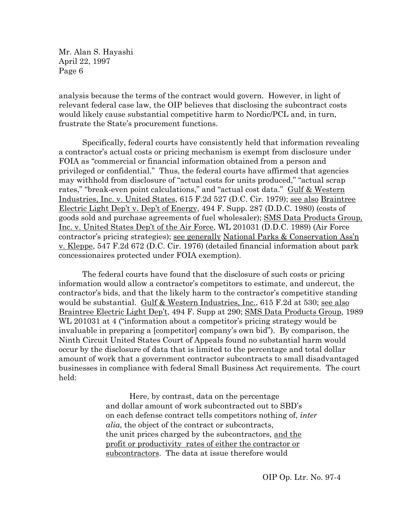analysis because the terms of the contract would govern. However, in light of relevant federal case law, the OIP believes that disclosing the subcontract costs would likely cause substantial competitive harm to Nordic/PCL and, in turn, frustrate the State's procurement functions.

Specifically, federal courts have consistently held that information revealing a contractor's actual costs or pricing mechanism is exempt from disclosure under FOIA as "commercial or financial information obtained from a person and privileged or confidential." Thus, the federal courts have affirmed that agencies may withhold from disclosure of "actual costs for units produced," "actual scrap rates," "break-even point calculations," and "actual cost data." Gulf & Western Industries, Inc. v. United States, 615 F.2d 527 (D.C. Cir. 1979); see also Braintree Electric Light Dep't v. Dep't of Energy, 494 F. Supp. 287 (D.D.C. 1980) (costs of goods sold and purchase agreements of fuel wholesaler); SMS Data Products Group, Inc. v. United States Dep't of the Air Force, WL 201031 (D.D.C. 1989) (Air Force contractor's pricing strategies); see generally National Parks & Conservation Ass'n v. Kleppe, 547 F.2d 672 (D.C. Cir. 1976) (detailed financial information about park concessionaires protected under FOIA exemption).

The federal courts have found that the disclosure of such costs or pricing information would allow a contractor's competitors to estimate, and undercut, the contractor's bids, and that the likely harm to the contractor's competitive standing would be substantial. Gulf & Western Industries, Inc., 615 F.2d at 530; see also Braintree Electric Light Dep't, 494 F. Supp at 290; SMS Data Products Group, 1989 WL 201031 at 4 ("information about a competitor's pricing strategy would be invaluable in preparing a [competitor] company's own bid"). By comparison, the Ninth Circuit United States Court of Appeals found no substantial harm would occur by the disclosure of data that is limited to the percentage and total dollar amount of work that a government contractor subcontracts to small disadvantaged businesses in compliance with federal Small Business Act requirements. The court held:

> Here, by contrast, data on the percentage and dollar amount of work subcontracted out to SBD's on each defense contract tells competitors nothing of, *inter alia*, the object of the contract or subcontracts, the unit prices charged by the subcontractors, and the profit or productivity rates of either the contractor or subcontractors. The data at issue therefore would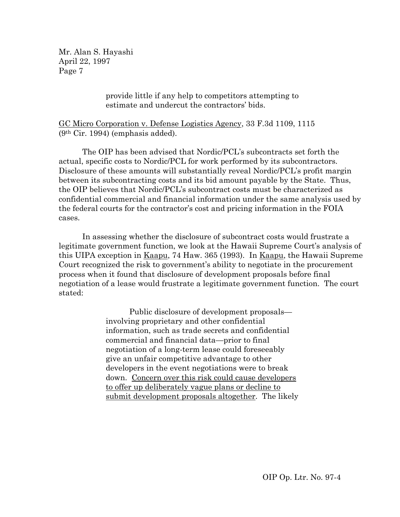> provide little if any help to competitors attempting to estimate and undercut the contractors' bids.

GC Micro Corporation v. Defense Logistics Agency, 33 F.3d 1109, 1115 (9th Cir. 1994) (emphasis added).

The OIP has been advised that Nordic/PCL's subcontracts set forth the actual, specific costs to Nordic/PCL for work performed by its subcontractors. Disclosure of these amounts will substantially reveal Nordic/PCL's profit margin between its subcontracting costs and its bid amount payable by the State. Thus, the OIP believes that Nordic/PCL's subcontract costs must be characterized as confidential commercial and financial information under the same analysis used by the federal courts for the contractor's cost and pricing information in the FOIA cases.

In assessing whether the disclosure of subcontract costs would frustrate a legitimate government function, we look at the Hawaii Supreme Court's analysis of this UIPA exception in Kaapu, 74 Haw. 365 (1993). In Kaapu, the Hawaii Supreme Court recognized the risk to government's ability to negotiate in the procurement process when it found that disclosure of development proposals before final negotiation of a lease would frustrate a legitimate government function. The court stated:

> Public disclosure of development proposals involving proprietary and other confidential information, such as trade secrets and confidential commercial and financial data—prior to final negotiation of a long-term lease could foreseeably give an unfair competitive advantage to other developers in the event negotiations were to break down. Concern over this risk could cause developers to offer up deliberately vague plans or decline to submit development proposals altogether. The likely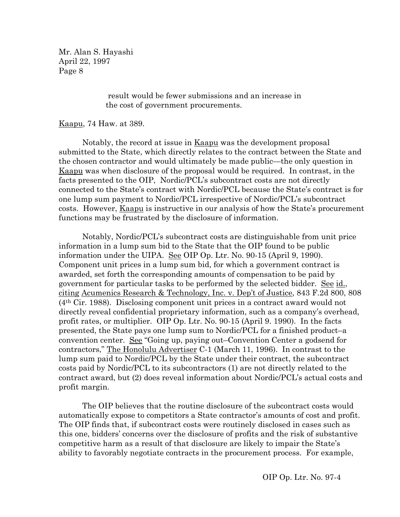> result would be fewer submissions and an increase in the cost of government procurements.

Kaapu, 74 Haw. at 389.

Notably, the record at issue in Kaapu was the development proposal submitted to the State, which directly relates to the contract between the State and the chosen contractor and would ultimately be made public—the only question in Kaapu was when disclosure of the proposal would be required. In contrast, in the facts presented to the OIP, Nordic/PCL's subcontract costs are not directly connected to the State's contract with Nordic/PCL because the State's contract is for one lump sum payment to Nordic/PCL irrespective of Nordic/PCL's subcontract costs. However, Kaapu is instructive in our analysis of how the State's procurement functions may be frustrated by the disclosure of information.

Notably, Nordic/PCL's subcontract costs are distinguishable from unit price information in a lump sum bid to the State that the OIP found to be public information under the UIPA. See OIP Op. Ltr. No. 90-15 (April 9, 1990). Component unit prices in a lump sum bid, for which a government contract is awarded, set forth the corresponding amounts of compensation to be paid by government for particular tasks to be performed by the selected bidder. See id., citing Acumenics Research & Technology, Inc. v. Dep't of Justice, 843 F.2d 800, 808 (4th Cir. 1988). Disclosing component unit prices in a contract award would not directly reveal confidential proprietary information, such as a company's overhead, profit rates, or multiplier. OIP Op. Ltr. No. 90-15 (April 9. 1990). In the facts presented, the State pays one lump sum to Nordic/PCL for a finished product–a convention center. See "Going up, paying out–Convention Center a godsend for contractors," The Honolulu Advertiser C-1 (March 11, 1996). In contrast to the lump sum paid to Nordic/PCL by the State under their contract, the subcontract costs paid by Nordic/PCL to its subcontractors (1) are not directly related to the contract award, but (2) does reveal information about Nordic/PCL's actual costs and profit margin.

The OIP believes that the routine disclosure of the subcontract costs would automatically expose to competitors a State contractor's amounts of cost and profit. The OIP finds that, if subcontract costs were routinely disclosed in cases such as this one, bidders' concerns over the disclosure of profits and the risk of substantive competitive harm as a result of that disclosure are likely to impair the State's ability to favorably negotiate contracts in the procurement process. For example,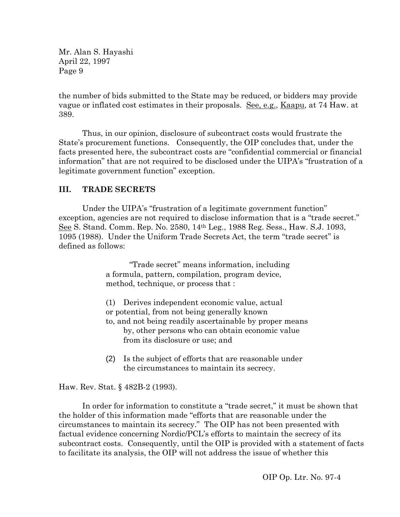the number of bids submitted to the State may be reduced, or bidders may provide vague or inflated cost estimates in their proposals. See, e.g., Kaapu, at 74 Haw. at 389.

Thus, in our opinion, disclosure of subcontract costs would frustrate the State's procurement functions. Consequently, the OIP concludes that, under the facts presented here, the subcontract costs are "confidential commercial or financial information" that are not required to be disclosed under the UIPA's "frustration of a legitimate government function" exception.

# **III. TRADE SECRETS**

Under the UIPA's "frustration of a legitimate government function" exception, agencies are not required to disclose information that is a "trade secret." See S. Stand. Comm. Rep. No. 2580, 14th Leg., 1988 Reg. Sess., Haw. S.J. 1093, 1095 (1988). Under the Uniform Trade Secrets Act, the term "trade secret" is defined as follows:

> "Trade secret" means information, including a formula, pattern, compilation, program device, method, technique, or process that :

(1) Derives independent economic value, actual or potential, from not being generally known to, and not being readily ascertainable by proper means by, other persons who can obtain economic value from its disclosure or use; and

(2) Is the subject of efforts that are reasonable under the circumstances to maintain its secrecy.

## Haw. Rev. Stat. § 482B-2 (1993).

In order for information to constitute a "trade secret," it must be shown that the holder of this information made "efforts that are reasonable under the circumstances to maintain its secrecy." The OIP has not been presented with factual evidence concerning Nordic/PCL's efforts to maintain the secrecy of its subcontract costs. Consequently, until the OIP is provided with a statement of facts to facilitate its analysis, the OIP will not address the issue of whether this